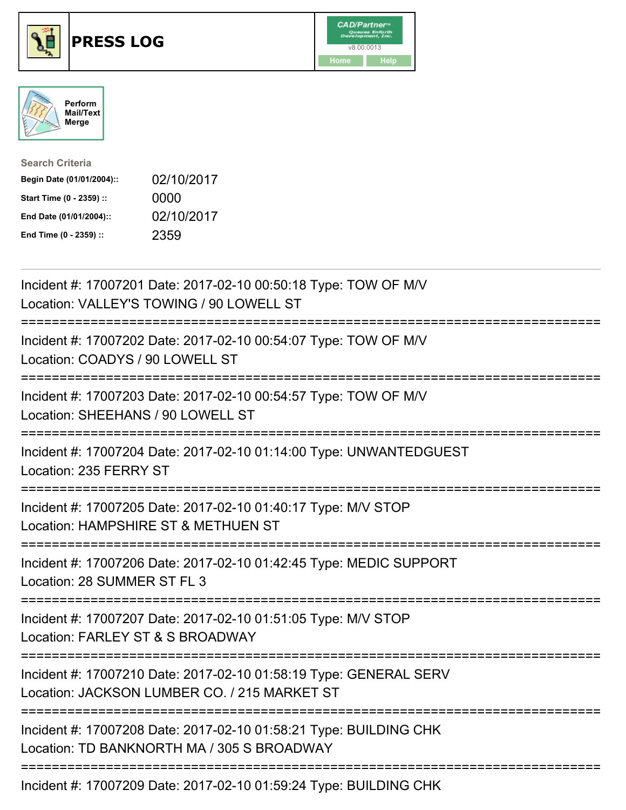





| <b>Search Criteria</b>    |            |
|---------------------------|------------|
| Begin Date (01/01/2004):: | 02/10/2017 |
| Start Time (0 - 2359) ::  | 0000       |
| End Date (01/01/2004)::   | 02/10/2017 |
| End Time (0 - 2359) ::    | 2359       |

| Incident #: 17007202 Date: 2017-02-10 00:54:07 Type: TOW OF M/V<br>Location: COADYS / 90 LOWELL ST<br>Incident #: 17007203 Date: 2017-02-10 00:54:57 Type: TOW OF M/V<br>Location: SHEEHANS / 90 LOWELL ST<br>:======================<br>Incident #: 17007204 Date: 2017-02-10 01:14:00 Type: UNWANTEDGUEST |
|-------------------------------------------------------------------------------------------------------------------------------------------------------------------------------------------------------------------------------------------------------------------------------------------------------------|
|                                                                                                                                                                                                                                                                                                             |
|                                                                                                                                                                                                                                                                                                             |
| Location: 235 FERRY ST                                                                                                                                                                                                                                                                                      |
| Incident #: 17007205 Date: 2017-02-10 01:40:17 Type: M/V STOP<br>Location: HAMPSHIRE ST & METHUEN ST                                                                                                                                                                                                        |
| Incident #: 17007206 Date: 2017-02-10 01:42:45 Type: MEDIC SUPPORT<br>Location: 28 SUMMER ST FL 3                                                                                                                                                                                                           |
| Incident #: 17007207 Date: 2017-02-10 01:51:05 Type: M/V STOP<br>Location: FARLEY ST & S BROADWAY                                                                                                                                                                                                           |
| Incident #: 17007210 Date: 2017-02-10 01:58:19 Type: GENERAL SERV<br>Location: JACKSON LUMBER CO. / 215 MARKET ST                                                                                                                                                                                           |
| Incident #: 17007208 Date: 2017-02-10 01:58:21 Type: BUILDING CHK<br>Location: TD BANKNORTH MA / 305 S BROADWAY                                                                                                                                                                                             |

Incident #: 17007209 Date: 2017-02-10 01:59:24 Type: BUILDING CHK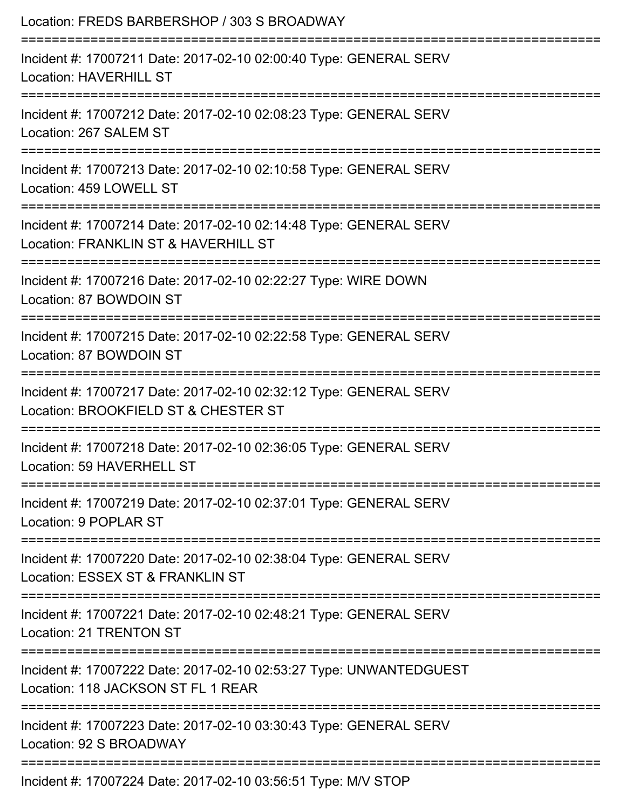| Location: FREDS BARBERSHOP / 303 S BROADWAY                                                                                      |
|----------------------------------------------------------------------------------------------------------------------------------|
| Incident #: 17007211 Date: 2017-02-10 02:00:40 Type: GENERAL SERV<br><b>Location: HAVERHILL ST</b>                               |
| Incident #: 17007212 Date: 2017-02-10 02:08:23 Type: GENERAL SERV<br>Location: 267 SALEM ST                                      |
| Incident #: 17007213 Date: 2017-02-10 02:10:58 Type: GENERAL SERV<br>Location: 459 LOWELL ST<br>:=============================   |
| Incident #: 17007214 Date: 2017-02-10 02:14:48 Type: GENERAL SERV<br>Location: FRANKLIN ST & HAVERHILL ST                        |
| Incident #: 17007216 Date: 2017-02-10 02:22:27 Type: WIRE DOWN<br>Location: 87 BOWDOIN ST                                        |
| Incident #: 17007215 Date: 2017-02-10 02:22:58 Type: GENERAL SERV<br>Location: 87 BOWDOIN ST                                     |
| Incident #: 17007217 Date: 2017-02-10 02:32:12 Type: GENERAL SERV<br>Location: BROOKFIELD ST & CHESTER ST                        |
| Incident #: 17007218 Date: 2017-02-10 02:36:05 Type: GENERAL SERV<br>Location: 59 HAVERHELL ST                                   |
| :=================================<br>Incident #: 17007219 Date: 2017-02-10 02:37:01 Type: GENERAL SERV<br>Location: 9 POPLAR ST |
| ,_______________<br>Incident #: 17007220 Date: 2017-02-10 02:38:04 Type: GENERAL SERV<br>Location: ESSEX ST & FRANKLIN ST        |
| Incident #: 17007221 Date: 2017-02-10 02:48:21 Type: GENERAL SERV<br><b>Location: 21 TRENTON ST</b>                              |
| Incident #: 17007222 Date: 2017-02-10 02:53:27 Type: UNWANTEDGUEST<br>Location: 118 JACKSON ST FL 1 REAR                         |
| Incident #: 17007223 Date: 2017-02-10 03:30:43 Type: GENERAL SERV<br>Location: 92 S BROADWAY                                     |
| Incident #: 17007224 Date: 2017-02-10 03:56:51 Type: M/V STOP                                                                    |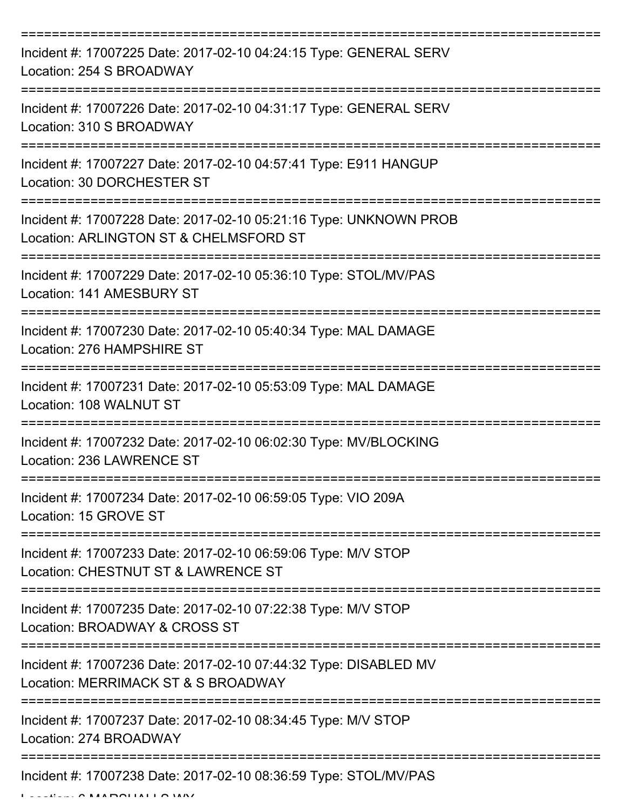| Incident #: 17007225 Date: 2017-02-10 04:24:15 Type: GENERAL SERV<br>Location: 254 S BROADWAY               |
|-------------------------------------------------------------------------------------------------------------|
| Incident #: 17007226 Date: 2017-02-10 04:31:17 Type: GENERAL SERV<br>Location: 310 S BROADWAY               |
| Incident #: 17007227 Date: 2017-02-10 04:57:41 Type: E911 HANGUP<br>Location: 30 DORCHESTER ST              |
| Incident #: 17007228 Date: 2017-02-10 05:21:16 Type: UNKNOWN PROB<br>Location: ARLINGTON ST & CHELMSFORD ST |
| Incident #: 17007229 Date: 2017-02-10 05:36:10 Type: STOL/MV/PAS<br>Location: 141 AMESBURY ST               |
| Incident #: 17007230 Date: 2017-02-10 05:40:34 Type: MAL DAMAGE<br>Location: 276 HAMPSHIRE ST               |
| Incident #: 17007231 Date: 2017-02-10 05:53:09 Type: MAL DAMAGE<br>Location: 108 WALNUT ST                  |
| Incident #: 17007232 Date: 2017-02-10 06:02:30 Type: MV/BLOCKING<br>Location: 236 LAWRENCE ST               |
| Incident #: 17007234 Date: 2017-02-10 06:59:05 Type: VIO 209A<br>Location: 15 GROVE ST                      |
| Incident #: 17007233 Date: 2017-02-10 06:59:06 Type: M/V STOP<br>Location: CHESTNUT ST & LAWRENCE ST        |
| Incident #: 17007235 Date: 2017-02-10 07:22:38 Type: M/V STOP<br>Location: BROADWAY & CROSS ST              |
| Incident #: 17007236 Date: 2017-02-10 07:44:32 Type: DISABLED MV<br>Location: MERRIMACK ST & S BROADWAY     |
| Incident #: 17007237 Date: 2017-02-10 08:34:45 Type: M/V STOP<br>Location: 274 BROADWAY                     |
| Incident #: 17007238 Date: 2017-02-10 08:36:59 Type: STOL/MV/PAS                                            |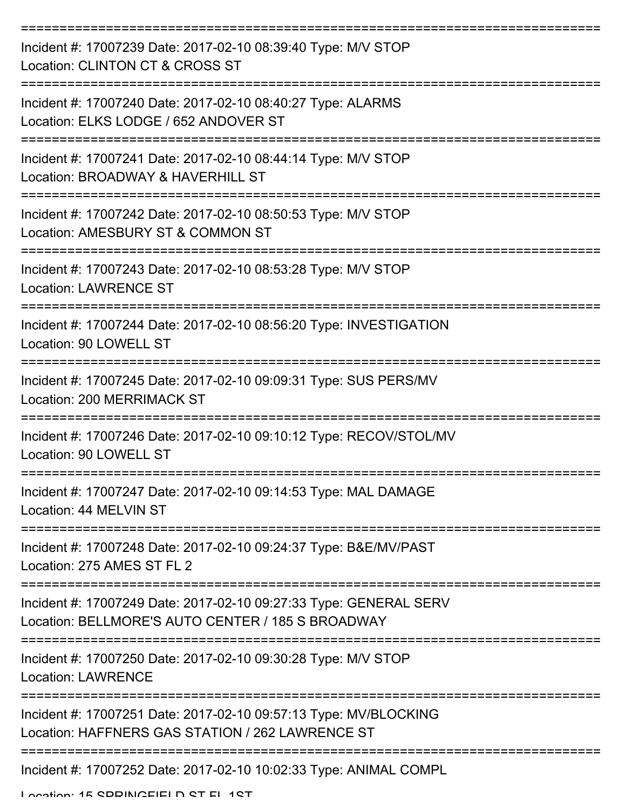| Incident #: 17007239 Date: 2017-02-10 08:39:40 Type: M/V STOP<br>Location: CLINTON CT & CROSS ST                            |
|-----------------------------------------------------------------------------------------------------------------------------|
| Incident #: 17007240 Date: 2017-02-10 08:40:27 Type: ALARMS<br>Location: ELKS LODGE / 652 ANDOVER ST                        |
| Incident #: 17007241 Date: 2017-02-10 08:44:14 Type: M/V STOP<br>Location: BROADWAY & HAVERHILL ST                          |
| Incident #: 17007242 Date: 2017-02-10 08:50:53 Type: M/V STOP<br>Location: AMESBURY ST & COMMON ST                          |
| Incident #: 17007243 Date: 2017-02-10 08:53:28 Type: M/V STOP<br><b>Location: LAWRENCE ST</b><br>-------------------------- |
| Incident #: 17007244 Date: 2017-02-10 08:56:20 Type: INVESTIGATION<br>Location: 90 LOWELL ST                                |
| Incident #: 17007245 Date: 2017-02-10 09:09:31 Type: SUS PERS/MV<br><b>Location: 200 MERRIMACK ST</b>                       |
| Incident #: 17007246 Date: 2017-02-10 09:10:12 Type: RECOV/STOL/MV<br>Location: 90 LOWELL ST                                |
| Incident #: 17007247 Date: 2017-02-10 09:14:53 Type: MAL DAMAGE<br>Location: 44 MELVIN ST                                   |
| Incident #: 17007248 Date: 2017-02-10 09:24:37 Type: B&E/MV/PAST<br>Location: 275 AMES ST FL 2                              |
| Incident #: 17007249 Date: 2017-02-10 09:27:33 Type: GENERAL SERV<br>Location: BELLMORE'S AUTO CENTER / 185 S BROADWAY      |
| Incident #: 17007250 Date: 2017-02-10 09:30:28 Type: M/V STOP<br><b>Location: LAWRENCE</b>                                  |
| Incident #: 17007251 Date: 2017-02-10 09:57:13 Type: MV/BLOCKING<br>Location: HAFFNERS GAS STATION / 262 LAWRENCE ST        |
| Incident #: 17007252 Date: 2017-02-10 10:02:33 Type: ANIMAL COMPL                                                           |

Location: 15 SPDINGFIELD ST FL 1ST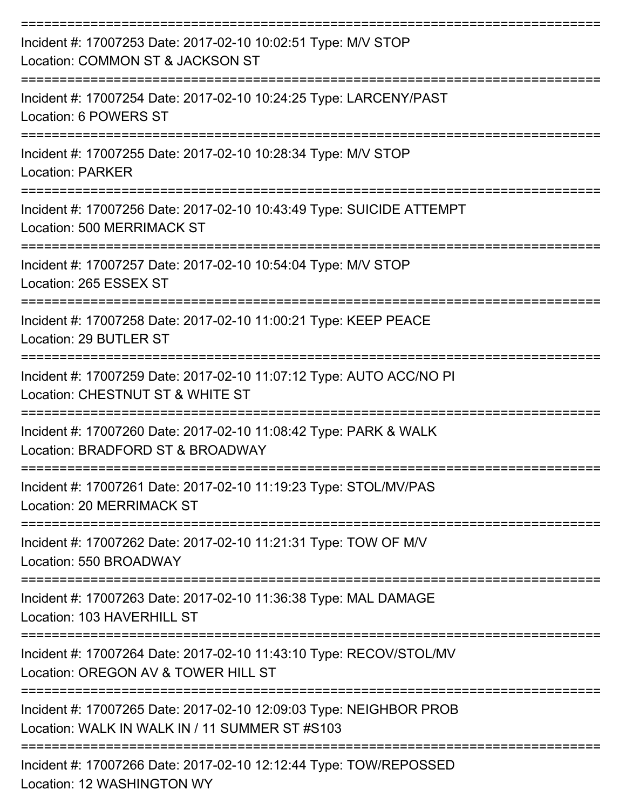| Incident #: 17007253 Date: 2017-02-10 10:02:51 Type: M/V STOP<br>Location: COMMON ST & JACKSON ST<br>:============== |
|----------------------------------------------------------------------------------------------------------------------|
| Incident #: 17007254 Date: 2017-02-10 10:24:25 Type: LARCENY/PAST<br>Location: 6 POWERS ST<br>------------------     |
| Incident #: 17007255 Date: 2017-02-10 10:28:34 Type: M/V STOP<br><b>Location: PARKER</b>                             |
| Incident #: 17007256 Date: 2017-02-10 10:43:49 Type: SUICIDE ATTEMPT<br>Location: 500 MERRIMACK ST                   |
| Incident #: 17007257 Date: 2017-02-10 10:54:04 Type: M/V STOP<br>Location: 265 ESSEX ST                              |
| Incident #: 17007258 Date: 2017-02-10 11:00:21 Type: KEEP PEACE<br>Location: 29 BUTLER ST                            |
| Incident #: 17007259 Date: 2017-02-10 11:07:12 Type: AUTO ACC/NO PI<br>Location: CHESTNUT ST & WHITE ST              |
| Incident #: 17007260 Date: 2017-02-10 11:08:42 Type: PARK & WALK<br>Location: BRADFORD ST & BROADWAY                 |
| Incident #: 17007261 Date: 2017-02-10 11:19:23 Type: STOL/MV/PAS<br>Location: 20 MERRIMACK ST                        |
| Incident #: 17007262 Date: 2017-02-10 11:21:31 Type: TOW OF M/V<br>Location: 550 BROADWAY                            |
| Incident #: 17007263 Date: 2017-02-10 11:36:38 Type: MAL DAMAGE<br>Location: 103 HAVERHILL ST                        |
| Incident #: 17007264 Date: 2017-02-10 11:43:10 Type: RECOV/STOL/MV<br>Location: OREGON AV & TOWER HILL ST            |
| Incident #: 17007265 Date: 2017-02-10 12:09:03 Type: NEIGHBOR PROB<br>Location: WALK IN WALK IN / 11 SUMMER ST #S103 |
| Incident #: 17007266 Date: 2017-02-10 12:12:44 Type: TOW/REPOSSED<br>Location: 12 WASHINGTON WY                      |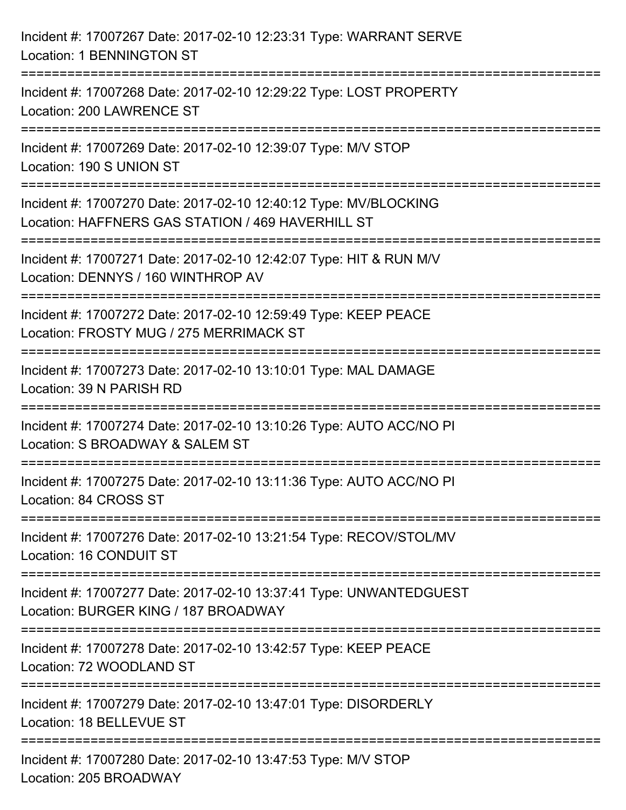| Incident #: 17007267 Date: 2017-02-10 12:23:31 Type: WARRANT SERVE<br><b>Location: 1 BENNINGTON ST</b>                                                                            |
|-----------------------------------------------------------------------------------------------------------------------------------------------------------------------------------|
| ===================================<br>Incident #: 17007268 Date: 2017-02-10 12:29:22 Type: LOST PROPERTY<br>Location: 200 LAWRENCE ST                                            |
| Incident #: 17007269 Date: 2017-02-10 12:39:07 Type: M/V STOP<br>Location: 190 S UNION ST<br>=================================                                                    |
| Incident #: 17007270 Date: 2017-02-10 12:40:12 Type: MV/BLOCKING<br>Location: HAFFNERS GAS STATION / 469 HAVERHILL ST<br>:==================================<br>----------------- |
| Incident #: 17007271 Date: 2017-02-10 12:42:07 Type: HIT & RUN M/V<br>Location: DENNYS / 160 WINTHROP AV                                                                          |
| Incident #: 17007272 Date: 2017-02-10 12:59:49 Type: KEEP PEACE<br>Location: FROSTY MUG / 275 MERRIMACK ST                                                                        |
| Incident #: 17007273 Date: 2017-02-10 13:10:01 Type: MAL DAMAGE<br>Location: 39 N PARISH RD                                                                                       |
| Incident #: 17007274 Date: 2017-02-10 13:10:26 Type: AUTO ACC/NO PI<br>Location: S BROADWAY & SALEM ST                                                                            |
| Incident #: 17007275 Date: 2017-02-10 13:11:36 Type: AUTO ACC/NO PI<br>Location: 84 CROSS ST                                                                                      |
| Incident #: 17007276 Date: 2017-02-10 13:21:54 Type: RECOV/STOL/MV<br>Location: 16 CONDUIT ST                                                                                     |
| Incident #: 17007277 Date: 2017-02-10 13:37:41 Type: UNWANTEDGUEST<br>Location: BURGER KING / 187 BROADWAY                                                                        |
| Incident #: 17007278 Date: 2017-02-10 13:42:57 Type: KEEP PEACE<br>Location: 72 WOODLAND ST                                                                                       |
| Incident #: 17007279 Date: 2017-02-10 13:47:01 Type: DISORDERLY<br>Location: 18 BELLEVUE ST                                                                                       |
| Incident #: 17007280 Date: 2017-02-10 13:47:53 Type: M/V STOP<br>Location: 205 BROADWAY                                                                                           |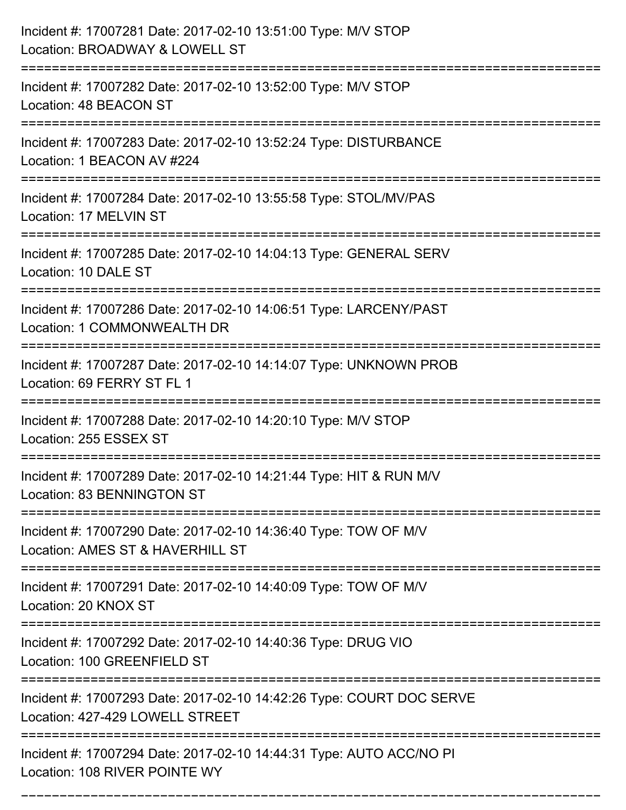| Incident #: 17007281 Date: 2017-02-10 13:51:00 Type: M/V STOP<br>Location: BROADWAY & LOWELL ST                                                                            |
|----------------------------------------------------------------------------------------------------------------------------------------------------------------------------|
| Incident #: 17007282 Date: 2017-02-10 13:52:00 Type: M/V STOP<br>Location: 48 BEACON ST                                                                                    |
| Incident #: 17007283 Date: 2017-02-10 13:52:24 Type: DISTURBANCE<br>Location: 1 BEACON AV #224                                                                             |
| Incident #: 17007284 Date: 2017-02-10 13:55:58 Type: STOL/MV/PAS<br>Location: 17 MELVIN ST                                                                                 |
| Incident #: 17007285 Date: 2017-02-10 14:04:13 Type: GENERAL SERV<br>Location: 10 DALE ST                                                                                  |
| Incident #: 17007286 Date: 2017-02-10 14:06:51 Type: LARCENY/PAST<br>Location: 1 COMMONWEALTH DR                                                                           |
| Incident #: 17007287 Date: 2017-02-10 14:14:07 Type: UNKNOWN PROB<br>Location: 69 FERRY ST FL 1                                                                            |
| Incident #: 17007288 Date: 2017-02-10 14:20:10 Type: M/V STOP<br>Location: 255 ESSEX ST                                                                                    |
| Incident #: 17007289 Date: 2017-02-10 14:21:44 Type: HIT & RUN M/V<br>Location: 83 BENNINGTON ST                                                                           |
| Incident #: 17007290 Date: 2017-02-10 14:36:40 Type: TOW OF M/V<br>Location: AMES ST & HAVERHILL ST<br>====================================<br>=========================== |
| Incident #: 17007291 Date: 2017-02-10 14:40:09 Type: TOW OF M/V<br>Location: 20 KNOX ST                                                                                    |
| Incident #: 17007292 Date: 2017-02-10 14:40:36 Type: DRUG VIO<br>Location: 100 GREENFIELD ST                                                                               |
| Incident #: 17007293 Date: 2017-02-10 14:42:26 Type: COURT DOC SERVE<br>Location: 427-429 LOWELL STREET                                                                    |
| Incident #: 17007294 Date: 2017-02-10 14:44:31 Type: AUTO ACC/NO PI<br>Location: 108 RIVER POINTE WY                                                                       |

===========================================================================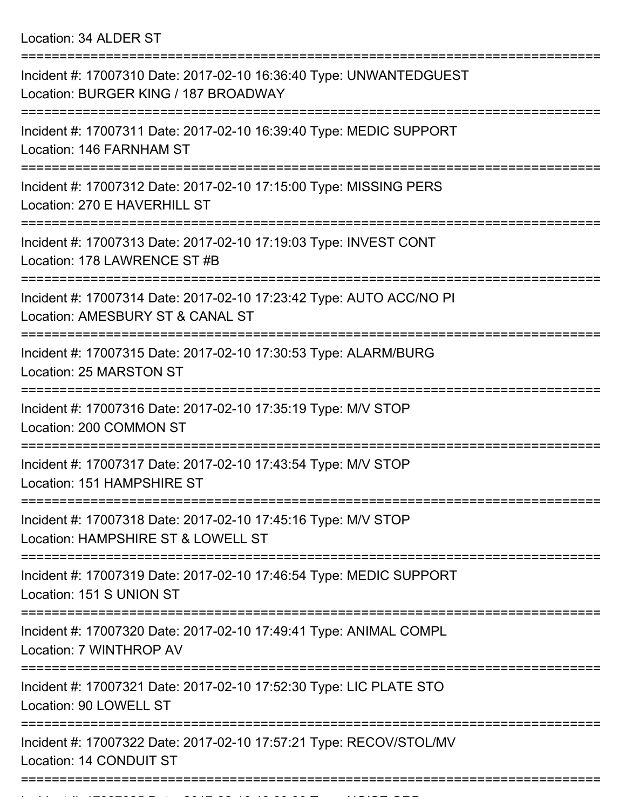Location: 34 ALDER ST

| Incident #: 17007310 Date: 2017-02-10 16:36:40 Type: UNWANTEDGUEST<br>Location: BURGER KING / 187 BROADWAY |
|------------------------------------------------------------------------------------------------------------|
| Incident #: 17007311 Date: 2017-02-10 16:39:40 Type: MEDIC SUPPORT<br>Location: 146 FARNHAM ST             |
| Incident #: 17007312 Date: 2017-02-10 17:15:00 Type: MISSING PERS<br>Location: 270 E HAVERHILL ST          |
| Incident #: 17007313 Date: 2017-02-10 17:19:03 Type: INVEST CONT<br>Location: 178 LAWRENCE ST #B           |
| Incident #: 17007314 Date: 2017-02-10 17:23:42 Type: AUTO ACC/NO PI<br>Location: AMESBURY ST & CANAL ST    |
| Incident #: 17007315 Date: 2017-02-10 17:30:53 Type: ALARM/BURG<br>Location: 25 MARSTON ST                 |
| Incident #: 17007316 Date: 2017-02-10 17:35:19 Type: M/V STOP<br>Location: 200 COMMON ST                   |
| Incident #: 17007317 Date: 2017-02-10 17:43:54 Type: M/V STOP<br>Location: 151 HAMPSHIRE ST                |
| Incident #: 17007318 Date: 2017-02-10 17:45:16 Type: M/V STOP<br>Location: HAMPSHIRE ST & LOWELL ST        |
| Incident #: 17007319 Date: 2017-02-10 17:46:54 Type: MEDIC SUPPORT<br>Location: 151 S UNION ST             |
| Incident #: 17007320 Date: 2017-02-10 17:49:41 Type: ANIMAL COMPL<br>Location: 7 WINTHROP AV               |
| Incident #: 17007321 Date: 2017-02-10 17:52:30 Type: LIC PLATE STO<br>Location: 90 LOWELL ST               |
| Incident #: 17007322 Date: 2017-02-10 17:57:21 Type: RECOV/STOL/MV<br>Location: 14 CONDUIT ST              |
|                                                                                                            |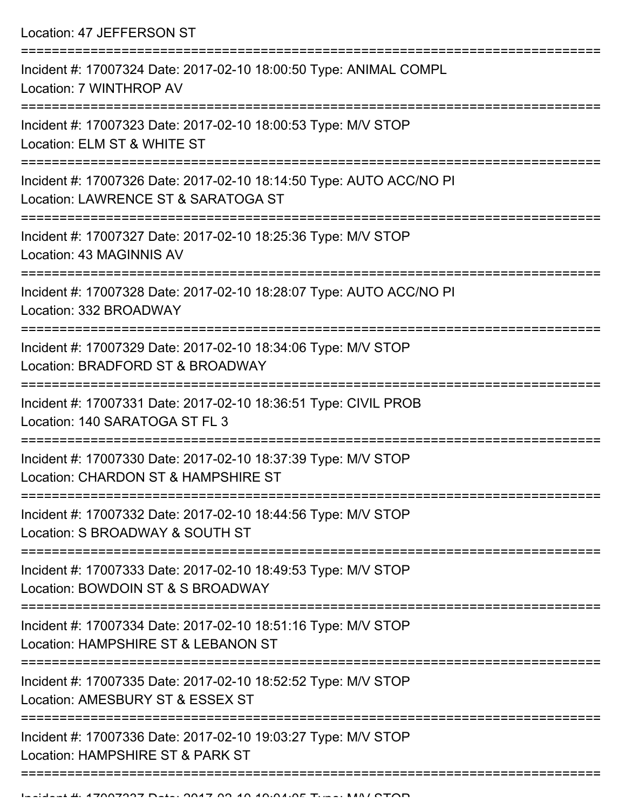Location: 47 JEFFERSON ST

| Incident #: 17007324 Date: 2017-02-10 18:00:50 Type: ANIMAL COMPL<br>Location: 7 WINTHROP AV               |
|------------------------------------------------------------------------------------------------------------|
| Incident #: 17007323 Date: 2017-02-10 18:00:53 Type: M/V STOP<br>Location: ELM ST & WHITE ST               |
| Incident #: 17007326 Date: 2017-02-10 18:14:50 Type: AUTO ACC/NO PI<br>Location: LAWRENCE ST & SARATOGA ST |
| Incident #: 17007327 Date: 2017-02-10 18:25:36 Type: M/V STOP<br>Location: 43 MAGINNIS AV                  |
| Incident #: 17007328 Date: 2017-02-10 18:28:07 Type: AUTO ACC/NO PI<br>Location: 332 BROADWAY              |
| Incident #: 17007329 Date: 2017-02-10 18:34:06 Type: M/V STOP<br>Location: BRADFORD ST & BROADWAY          |
| Incident #: 17007331 Date: 2017-02-10 18:36:51 Type: CIVIL PROB<br>Location: 140 SARATOGA ST FL 3          |
| Incident #: 17007330 Date: 2017-02-10 18:37:39 Type: M/V STOP<br>Location: CHARDON ST & HAMPSHIRE ST       |
| Incident #: 17007332 Date: 2017-02-10 18:44:56 Type: M/V STOP<br>Location: S BROADWAY & SOUTH ST           |
| Incident #: 17007333 Date: 2017-02-10 18:49:53 Type: M/V STOP<br>Location: BOWDOIN ST & S BROADWAY         |
| Incident #: 17007334 Date: 2017-02-10 18:51:16 Type: M/V STOP<br>Location: HAMPSHIRE ST & LEBANON ST       |
| Incident #: 17007335 Date: 2017-02-10 18:52:52 Type: M/V STOP<br>Location: AMESBURY ST & ESSEX ST          |
| Incident #: 17007336 Date: 2017-02-10 19:03:27 Type: M/V STOP<br>Location: HAMPSHIRE ST & PARK ST          |
|                                                                                                            |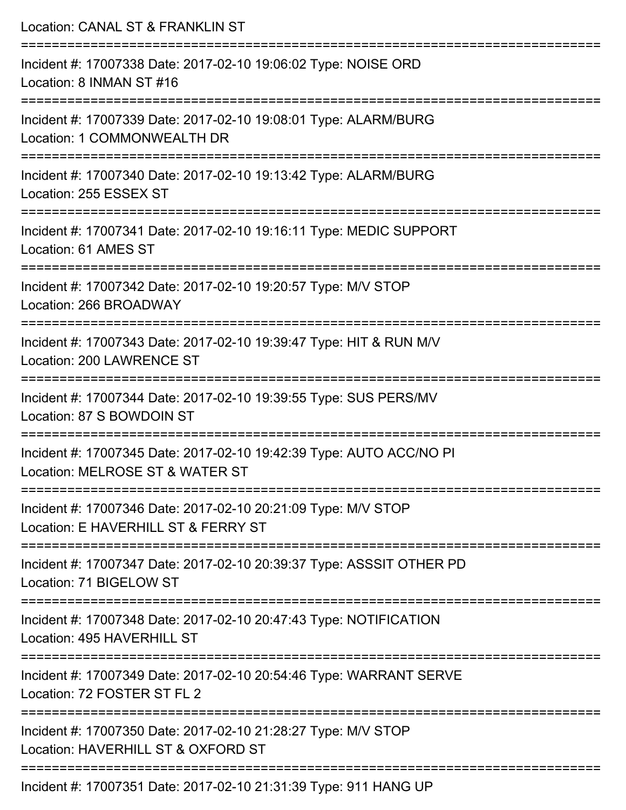| Location: CANAL ST & FRANKLIN ST                                                                       |
|--------------------------------------------------------------------------------------------------------|
| Incident #: 17007338 Date: 2017-02-10 19:06:02 Type: NOISE ORD<br>Location: 8 INMAN ST #16             |
| Incident #: 17007339 Date: 2017-02-10 19:08:01 Type: ALARM/BURG<br>Location: 1 COMMONWEALTH DR         |
| Incident #: 17007340 Date: 2017-02-10 19:13:42 Type: ALARM/BURG<br>Location: 255 ESSEX ST              |
| Incident #: 17007341 Date: 2017-02-10 19:16:11 Type: MEDIC SUPPORT<br>Location: 61 AMES ST             |
| Incident #: 17007342 Date: 2017-02-10 19:20:57 Type: M/V STOP<br>Location: 266 BROADWAY                |
| Incident #: 17007343 Date: 2017-02-10 19:39:47 Type: HIT & RUN M/V<br>Location: 200 LAWRENCE ST        |
| Incident #: 17007344 Date: 2017-02-10 19:39:55 Type: SUS PERS/MV<br>Location: 87 S BOWDOIN ST          |
| Incident #: 17007345 Date: 2017-02-10 19:42:39 Type: AUTO ACC/NO PI<br>Location: MELROSE ST & WATER ST |
| Incident #: 17007346 Date: 2017-02-10 20:21:09 Type: M/V STOP<br>Location: E HAVERHILL ST & FERRY ST   |
| Incident #: 17007347 Date: 2017-02-10 20:39:37 Type: ASSSIT OTHER PD<br>Location: 71 BIGELOW ST        |
| Incident #: 17007348 Date: 2017-02-10 20:47:43 Type: NOTIFICATION<br>Location: 495 HAVERHILL ST        |
| Incident #: 17007349 Date: 2017-02-10 20:54:46 Type: WARRANT SERVE<br>Location: 72 FOSTER ST FL 2      |
| Incident #: 17007350 Date: 2017-02-10 21:28:27 Type: M/V STOP<br>Location: HAVERHILL ST & OXFORD ST    |
| Incident #: 17007351 Date: 2017-02-10 21:31:39 Type: 911 HANG UP                                       |